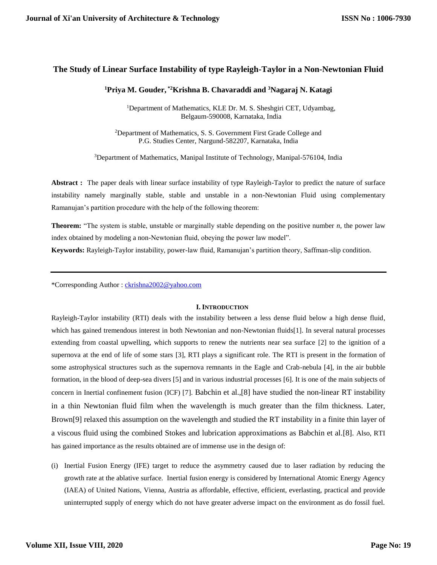# **The Study of Linear Surface Instability of type Rayleigh-Taylor in a Non-Newtonian Fluid**

# **<sup>1</sup>Priya M. Gouder, \*2Krishna B. Chavaraddi and <sup>3</sup>Nagaraj N. Katagi**

<sup>1</sup>Department of Mathematics, KLE Dr. M. S. Sheshgiri CET, Udyambag, Belgaum-590008, Karnataka, India

<sup>2</sup>Department of Mathematics, S. S. Government First Grade College and P.G. Studies Center, Nargund-582207, Karnataka, India

<sup>3</sup>Department of Mathematics, Manipal Institute of Technology, Manipal-576104, India

**Abstract :** The paper deals with linear surface instability of type Rayleigh-Taylor to predict the nature of surface instability namely marginally stable, stable and unstable in a non-Newtonian Fluid using complementary Ramanujan's partition procedure with the help of the following theorem:

**Theorem:** "The system is stable, unstable or marginally stable depending on the positive number *n*, the power law index obtained by modeling a non-Newtonian fluid, obeying the power law model".

**Keywords:** Rayleigh-Taylor instability, power-law fluid, Ramanujan's partition theory, Saffman-slip condition.

\*Corresponding Author : [ckrishna2002@yahoo.com](mailto:ckrishna2002@yahoo.com)

## **I. INTRODUCTION**

Rayleigh-Taylor instability (RTI) deals with the instability between a less dense fluid below a high dense fluid, which has gained tremendous interest in both Newtonian and non-Newtonian fluids[1]. In several natural processes extending from coastal upwelling, which supports to renew the nutrients near sea surface [2] to the ignition of a supernova at the end of life of some stars [3], RTI plays a significant role. The RTI is present in the formation of some astrophysical structures such as the supernova remnants in the Eagle and Crab-nebula [4], in the air bubble formation, in the blood of deep-sea divers [5] and in various industrial processes [6]. It is one of the main subjects of concern in Inertial confinement fusion (ICF) [7]. Babchin et al.,[8] have studied the non-linear RT instability in a thin Newtonian fluid film when the wavelength is much greater than the film thickness. Later, Brown[9] relaxed this assumption on the wavelength and studied the RT instability in a finite thin layer of a viscous fluid using the combined Stokes and lubrication approximations as Babchin et al.[8]. Also, RTI has gained importance as the results obtained are of immense use in the design of:

(i) Inertial Fusion Energy (IFE) target to reduce the asymmetry caused due to laser radiation by reducing the growth rate at the ablative surface. Inertial fusion energy is considered by International Atomic Energy Agency (IAEA) of United Nations, Vienna, Austria as affordable, effective, efficient, everlasting, practical and provide uninterrupted supply of energy which do not have greater adverse impact on the environment as do fossil fuel.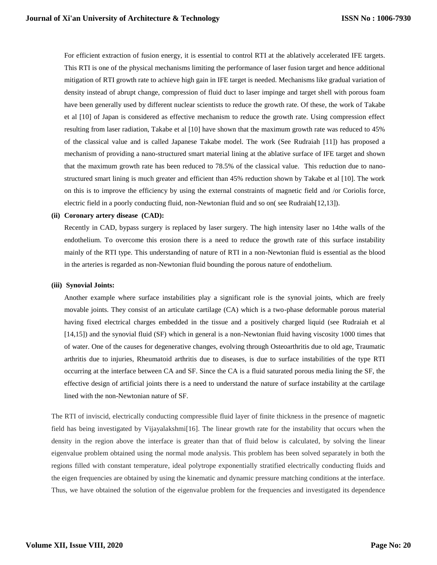For efficient extraction of fusion energy, it is essential to control RTI at the ablatively accelerated IFE targets. This RTI is one of the physical mechanisms limiting the performance of laser fusion target and hence additional mitigation of RTI growth rate to achieve high gain in IFE target is needed. Mechanisms like gradual variation of density instead of abrupt change, compression of fluid duct to laser impinge and target shell with porous foam have been generally used by different nuclear scientists to reduce the growth rate. Of these, the work of Takabe et al [10] of Japan is considered as effective mechanism to reduce the growth rate. Using compression effect resulting from laser radiation, Takabe et al [10] have shown that the maximum growth rate was reduced to 45% of the classical value and is called Japanese Takabe model. The work (See Rudraiah [11]) has proposed a mechanism of providing a nano-structured smart material lining at the ablative surface of IFE target and shown that the maximum growth rate has been reduced to 78.5% of the classical value. This reduction due to nanostructured smart lining is much greater and efficient than 45% reduction shown by Takabe et al [10]. The work on this is to improve the efficiency by using the external constraints of magnetic field and /or Coriolis force, electric field in a poorly conducting fluid, non-Newtonian fluid and so on( see Rudraiah[12,13]).

### **(ii) Coronary artery disease (CAD):**

Recently in CAD, bypass surgery is replaced by laser surgery. The high intensity laser no 14the walls of the endothelium. To overcome this erosion there is a need to reduce the growth rate of this surface instability mainly of the RTI type. This understanding of nature of RTI in a non-Newtonian fluid is essential as the blood in the arteries is regarded as non-Newtonian fluid bounding the porous nature of endothelium.

#### **(iii) Synovial Joints:**

Another example where surface instabilities play a significant role is the synovial joints, which are freely movable joints. They consist of an articulate cartilage (CA) which is a two-phase deformable porous material having fixed electrical charges embedded in the tissue and a positively charged liquid (see Rudraiah et al [14,15]) and the synovial fluid (SF) which in general is a non-Newtonian fluid having viscosity 1000 times that of water. One of the causes for degenerative changes, evolving through Osteoarthritis due to old age, Traumatic arthritis due to injuries, Rheumatoid arthritis due to diseases, is due to surface instabilities of the type RTI occurring at the interface between CA and SF. Since the CA is a fluid saturated porous media lining the SF, the effective design of artificial joints there is a need to understand the nature of surface instability at the cartilage lined with the non-Newtonian nature of SF.

The RTI of inviscid, electrically conducting compressible fluid layer of finite thickness in the presence of magnetic field has being investigated by Vijayalakshmi[16]. The linear growth rate for the instability that occurs when the density in the region above the interface is greater than that of fluid below is calculated, by solving the linear eigenvalue problem obtained using the normal mode analysis. This problem has been solved separately in both the regions filled with constant temperature, ideal polytrope exponentially stratified electrically conducting fluids and the eigen frequencies are obtained by using the kinematic and dynamic pressure matching conditions at the interface. Thus, we have obtained the solution of the eigenvalue problem for the frequencies and investigated its dependence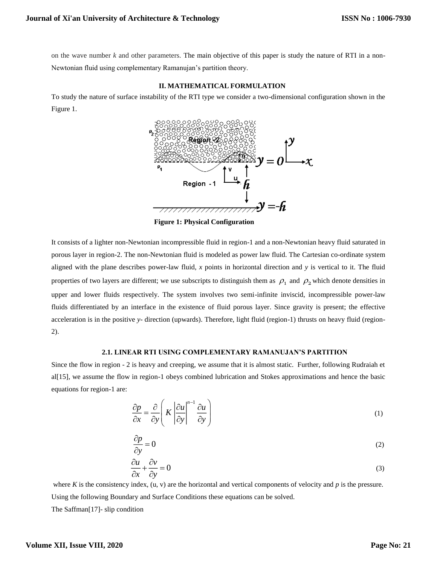on the wave number *k* and other parameters. The main objective of this paper is study the nature of RTI in a non-Newtonian fluid using complementary Ramanujan's partition theory.

## **II. MATHEMATICAL FORMULATION**

To study the nature of surface instability of the RTI type we consider a two-dimensional configuration shown in the Figure 1.



**Figure 1: Physical Configuration** 

It consists of a lighter non-Newtonian incompressible fluid in region-1 and a non-Newtonian heavy fluid saturated in porous layer in region-2. The non-Newtonian fluid is modeled as power law fluid. The Cartesian co-ordinate system aligned with the plane describes power-law fluid, *x* points in horizontal direction and *y* is vertical to it. The fluid properties of two layers are different; we use subscripts to distinguish them as  $\rho_1$  and  $\rho_2$  which denote densities in upper and lower fluids respectively. The system involves two semi-infinite inviscid, incompressible power-law fluids differentiated by an interface in the existence of fluid porous layer. Since gravity is present; the effective acceleration is in the positive *y*- direction (upwards). Therefore, light fluid (region-1) thrusts on heavy fluid (region- $2)$ .

## **2.1. LINEAR RTI USING COMPLEMENTARY RAMANUJAN'S PARTITION**

Since the flow in region - 2 is heavy and creeping, we assume that it is almost static. Further, following Rudraiah et al[15], we assume the flow in region-1 obeys combined lubrication and Stokes approximations and hence the basic equations for region-1 are:

$$
\frac{\partial p}{\partial x} = \frac{\partial}{\partial y} \left( K \left| \frac{\partial u}{\partial y} \right|^{n-1} \frac{\partial u}{\partial y} \right) \tag{1}
$$

$$
\frac{\partial p}{\partial y} = 0\tag{2}
$$

$$
\frac{\partial u}{\partial x} + \frac{\partial v}{\partial y} = 0
$$
 (3)

where  $K$  is the consistency index,  $(u, v)$  are the horizontal and vertical components of velocity and  $p$  is the pressure. Using the following Boundary and Surface Conditions these equations can be solved. The Saffman[17]- slip condition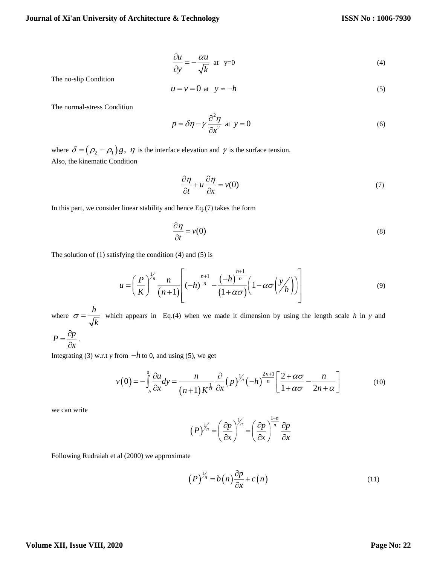$$
\frac{\partial u}{\partial y} = -\frac{\alpha u}{\sqrt{k}} \text{ at } y=0
$$
\n(4)

The no-slip Condition

$$
u = v = 0 \text{ at } y = -h \tag{5}
$$

The normal-stress Condition

$$
p = \delta \eta - \gamma \frac{\partial^2 \eta}{\partial x^2} \text{ at } y = 0
$$
 (6)

where  $\delta = (\rho_2 - \rho_1)g$ ,  $\eta$  is the interface elevation and  $\gamma$  is the surface tension. Also, the kinematic Condition

$$
\frac{\partial \eta}{\partial t} + u \frac{\partial \eta}{\partial x} = v(0) \tag{7}
$$

In this part, we consider linear stability and hence Eq.(7) takes the form

$$
\frac{\partial \eta}{\partial t} = v(0) \tag{8}
$$

The solution of (1) satisfying the condition (4) and (5) is

$$
u = \left(\frac{P}{K}\right)^{\frac{1}{n}} \frac{n}{(n+1)} \left[ (-h)^{\frac{n+1}{n}} - \frac{(-h)^{\frac{n+1}{n}}}{(1+\alpha\sigma)} \left(1 - \alpha\sigma\left(\frac{y}{h}\right)\right) \right] \tag{9}
$$

where  $\sigma = \frac{h}{\sqrt{h}}$  $\sigma = \frac{d\mu}{\sqrt{k}}$  which appears in Eq.(4) when we made it dimension by using the length scale *h* in *y* and

$$
P=\frac{\partial p}{\partial x}.
$$

Integrating (3) w.r.t *y* from  $-h$  to 0, and using (5), we get

$$
v(0) = -\int_{-h}^{0} \frac{\partial u}{\partial x} dy = \frac{n}{(n+1)K^{\frac{1}{n}}} \frac{\partial}{\partial x} (p)^{\frac{1}{n}} (-h)^{\frac{2n+1}{n}} \left[ \frac{2+\alpha\sigma}{1+\alpha\sigma} - \frac{n}{2n+\alpha} \right]
$$
(10)

we can write

$$
(P)^{\frac{1}{n}} = \left(\frac{\partial p}{\partial x}\right)^{\frac{1}{n}} = \left(\frac{\partial p}{\partial x}\right)^{\frac{1-n}{n}} \frac{\partial p}{\partial x}
$$

Following Rudraiah et al (2000) we approximate

$$
(P)^{\frac{1}{n}} = b(n)\frac{\partial p}{\partial x} + c(n) \tag{11}
$$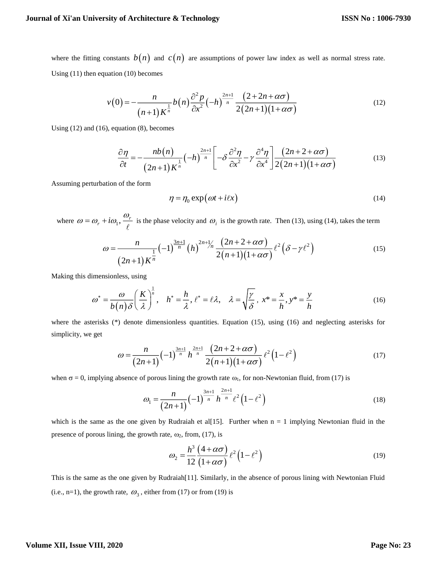where the fitting constants  $b(n)$  and  $c(n)$  are assumptions of power law index as well as normal stress rate. Using (11) then equation (10) becomes

$$
v(0) = -\frac{n}{(n+1)K^{\frac{1}{n}}}b(n)\frac{\partial^2 p}{\partial x^2}(-h)^{\frac{2n+1}{n}}\frac{(2+2n+\alpha\sigma)}{2(2n+1)(1+\alpha\sigma)}
$$
(12)

Using (12) and (16), equation (8), becomes

quation (8), becomes  
\n
$$
\frac{\partial \eta}{\partial t} = -\frac{nb(n)}{(2n+1)K^{\frac{1}{n}}}(-h)^{\frac{2n+1}{n}} \left[ -\delta \frac{\partial^2 \eta}{\partial x^2} - \gamma \frac{\partial^4 \eta}{\partial x^4} \right] \frac{(2n+2+\alpha\sigma)}{2(2n+1)(1+\alpha\sigma)}
$$
\n(13)

Assuming perturbation of the form

$$
\eta = \eta_0 \exp\left(\omega t + i\ell x\right) \tag{14}
$$

where  $\omega = \omega_r + i\omega_1$ ,  $\frac{\omega_r}{\omega}$  is the phase velocity and  $\omega_i$  is the growth rate. Then (13), using (14), takes the term ocity and  $\omega_i$  is the growth rate. Th<br>  $\frac{1}{n}$   $\frac{1}{(h)}$   $2n + \frac{1}{n}$   $\frac{(2n + 2 + \alpha \sigma)}{n}$   $\ell^2$ 

$$
+ i\omega_1, \frac{\omega_r}{\ell}
$$
 is the phase velocity and  $\omega_i$  is the growth rate. Then (13), using (14), takes the term  

$$
\omega = \frac{n}{(2n+1)K^{\frac{1}{n}}} (-1)^{\frac{3n+1}{n}} (h)^{2n+\frac{1}{n}} \frac{(2n+2+\alpha\sigma)}{2(n+1)(1+\alpha\sigma)} \ell^2 (\delta - \gamma \ell^2)
$$
(15)

Making this dimensionless, using

$$
\omega^* = \frac{\omega}{b(n)\delta} \left(\frac{K}{\lambda}\right)^{\frac{1}{n}}, \quad h^* = \frac{h}{\lambda}, \quad \ell^* = \ell\lambda, \quad \lambda = \sqrt{\frac{\gamma}{\delta}}, \quad x^* = \frac{x}{h}, \quad y^* = \frac{y}{h}
$$
\n<sup>(16)</sup>

where the asterisks  $(*)$  denote dimensionless quantities. Equation (15), using (16) and neglecting asterisks for simplicity, we get

$$
\omega = \frac{n}{(2n+1)} \left(-1\right)^{\frac{3n+1}{n}} h^{\frac{2n+1}{n}} \frac{\left(2n+2+\alpha\sigma\right)}{2\left(n+1\right)\left(1+\alpha\sigma\right)} \ell^2 \left(1-\ell^2\right) \tag{17}
$$

when  $\sigma = 0$ , implying absence of porous lining the growth rate  $\omega_1$ , for non-Newtonian fluid, from (17) is

$$
\omega_1 = \frac{n}{(2n+1)} \left(-1\right)^{\frac{3n+1}{n}} h^{\frac{2n+1}{n}} \ell^2 \left(1 - \ell^2\right) \tag{18}
$$

which is the same as the one given by Rudraiah et al[15]. Further when  $n = 1$  implying Newtonian fluid in the presence of porous lining, the growth rate,  $\omega_2$ , from, (17), is

$$
\omega_2 = \frac{h^3}{12} \frac{(4+\alpha\sigma)}{(1+\alpha\sigma)} \ell^2 (1-\ell^2)
$$
\n(19)

This is the same as the one given by Rudraiah[11]. Similarly, in the absence of porous lining with Newtonian Fluid (i.e., n=1), the growth rate,  $\omega_3$ , either from (17) or from (19) is

## **Volume XII, Issue VIII, 2020**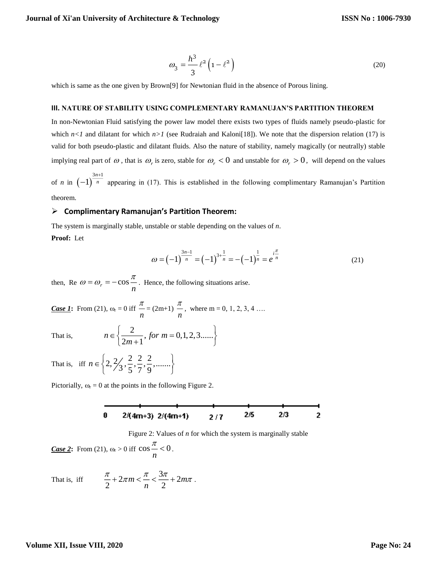$$
\omega_3 = \frac{h^3}{3} \ell^2 \left( 1 - \ell^2 \right) \tag{20}
$$

which is same as the one given by Brown<sup>[9]</sup> for Newtonian fluid in the absence of Porous lining.

#### **III. NATURE OF STABILITY USING COMPLEMENTARY RAMANUJAN'S PARTITION THEOREM**

In non-Newtonian Fluid satisfying the power law model there exists two types of fluids namely pseudo-plastic for which  $n < 1$  and dilatant for which  $n > 1$  (see Rudraiah and Kaloni<sup>[18]</sup>). We note that the dispersion relation (17) is valid for both pseudo-plastic and dilatant fluids. Also the nature of stability, namely magically (or neutrally) stable implying real part of  $\omega$ , that is  $\omega_r$  is zero, stable for  $\omega_r < 0$  and unstable for  $\omega_r > 0$ , will depend on the values

of *n* in  $\left(-1\right)^{\frac{3n+1}{n}}$  $1)^{\frac{3n}{n}}$ *n* +  $-1$ ) <sup>n</sup> appearing in (17). This is established in the following complimentary Ramanujan's Partition theorem.

## **Complimentary Ramanujan's Partition Theorem:**

The system is marginally stable, unstable or stable depending on the values of *n*.

**Proof:** Let

$$
\omega = \left(-1\right)^{\frac{3n-1}{n}} = \left(-1\right)^{3+\frac{1}{n}} = -\left(-1\right)^{\frac{1}{n}} = e^{\frac{i^{\frac{\pi}{n}}}{n}} \tag{21}
$$

then, Re  $\omega = \omega_r = -\cos \frac{\pi}{n}$  $\omega = \omega_r = -\cos \frac{\pi}{r}$ . Hence, the following situations arise.

*Case 1*: From (21),  $\omega_r = 0$  iff  $\frac{\pi}{n}$  $\frac{\pi}{n} = (2m+1) \frac{\pi}{n}$  $\frac{\pi}{2}$ , where m = 0, 1, 2, 3, 4 ...

That is,

$$
n \in \left\{ \frac{2}{2m+1}, \text{ for } m = 0, 1, 2, 3, \dots \right\}
$$

That is, iff  $n \in \left\{2, \frac{2}{3}, \frac{2}{5}, \frac{2}{7}, \frac{2}{9}, \dots \right\}$  $n \in \{2, 2, 2, 2, 2, 2, \ldots\}$  $\in \left\{2, \frac{2}{3}, \frac{2}{5}, \frac{2}{7}, \frac{2}{9}, \dots \right\}$ 

Pictorially,  $\omega_r = 0$  at the points in the following Figure 2.

Figure 2: Values of *n* for which the system is marginally stable

*Case 2*: From (21),  $\omega_r > 0$  iff  $\cos \frac{\pi}{2} < 0$ *n*  $\frac{\pi}{\pi}$  < 0.

That is, iff  $\frac{\pi}{2} + 2\pi m < \frac{\pi}{2} < \frac{3\pi}{2} + 2$  $\frac{n}{2} + 2\pi m < - < - + 2m$ *n*  $\frac{\pi}{2}$  + 2 $\pi$ m <  $\frac{\pi}{2}$  <  $\frac{3\pi}{2}$  + 2 $m\pi$ .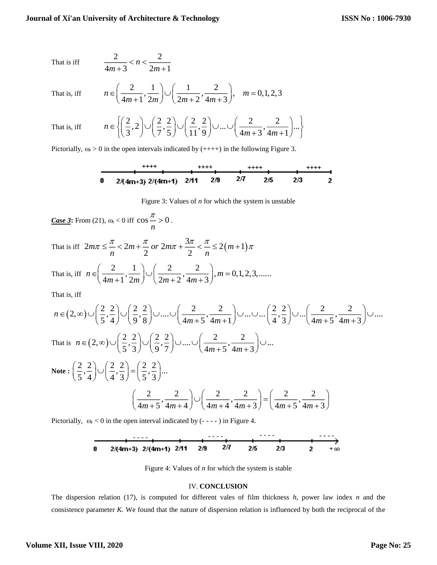That is iff 
$$
\frac{2}{4m+3} < n < \frac{2}{2m+1}
$$

That is, iff

$$
n \in \left(\frac{2}{4m+1}, \frac{1}{2m}\right) \cup \left(\frac{1}{2m+2}, \frac{2}{4m+3}\right), \quad m = 0, 1, 2, 3
$$

That is, if

$$
\text{If} \qquad n \in \left\{ \left( \frac{2}{3}, 2 \right) \cup \left( \frac{2}{7}, \frac{2}{5} \right) \cup \left( \frac{2}{11}, \frac{2}{9} \right) \cup \dots \cup \left( \frac{2}{4m+3}, \frac{2}{4m+1} \right) \dots \right\}
$$

Pictorially,  $\omega_r > 0$  in the open intervals indicated by (++++) in the following Figure 3.

Figure 3: Values of *n* for which the system is unstable

*Case* 3: From (21),  $\omega_r < 0$  iff  $\cos \frac{\pi}{r} > 0$ *n*  $\frac{\pi}{\pi} > 0$ . That is iff  $2m\pi \leq \frac{\pi}{2} < 2m + \frac{\pi}{2}$  or  $2m\pi + \frac{3\pi}{2} < \frac{\pi}{2} \leq 2(m+1)$  $m\pi \leq -\frac{2m+1}{2}$  or  $2m\pi + \frac{2}{2}$   $\leq -\frac{2}{n}$   $\leq 2(m)$ *n n*  $\pi \leq \frac{\pi}{2} < 2m + \frac{\pi}{2}$  or  $2m\pi + \frac{3\pi}{2} < \frac{\pi}{2} \leq 2(m+1)\pi$ That is, iff  $n \in \left(\frac{2}{4m+1}, \frac{1}{2m}\right) \cup \left(\frac{2}{2m+2}, \frac{2}{4m+3}\right), m = 0, 1, 2, 3, \dots$ *m* + 1 2*m* / \2*m* + 2 4*m*  $\in\left(\frac{2}{4m+1},\frac{1}{2m}\right)\cup\left(\frac{2}{2m+2},\frac{2}{4m+3}\right), m=$ That is, iff is, iff<br>  $(2, \infty) \cup \left(\frac{2}{5}, \frac{2}{4}\right) \cup \left(\frac{2}{9}, \frac{2}{8}\right) \cup .... \cup \left(\frac{2}{4m+5}, \frac{2}{4m+1}\right) \cup .... \cup ....$  $\left(\frac{2}{5},\frac{2}{4}\right) \cup \left(\frac{2}{9},\frac{2}{8}\right) \cup \dots \cup \left(\frac{2}{4m+5},\frac{2}{4m+1}\right)$ *n*  $\frac{2}{m+5}, \frac{2}{4m}$ at is, iff<br>  $\in (2,\infty) \cup \left(\frac{2}{5},\frac{2}{4}\right) \cup \left(\frac{2}{9},\frac{2}{8}\right) \cup ....\cup \left(\frac{2}{4m+5},\frac{2}{4m+1}\right) \cup ....\cup ....\left(\frac{2}{4},\frac{2}{3}\right)$ 2 2 2 2  $\left(\frac{2}{4}, \frac{2}{3}\right)$   $\cup$   $\ldots \left(\frac{2}{4m+5}, \frac{2}{4m+3}\right)$   $\cup$   $\ldots$ That is  $n \in (2, \infty) \cup \left( \frac{2}{5}, \frac{2}{3} \right) \cup \left( \frac{2}{9}, \frac{2}{7} \right) \cup ... \cup \left( \frac{2}{4m+5}, \frac{2}{4m+3} \right) \cup ...$ *m m*  $(2\ 2) (2\ 2) (2\ 2) (2\ 2)$  $\in (2, \infty) \cup \left(\frac{1}{5}, \frac{1}{3}\right) \cup \left(\frac{1}{9}, \frac{1}{7}\right) \cup ... \cup \left(\frac{1}{4m+5}, \frac{1}{4m+3}\right) \cup$ **Note** :  $\left(\frac{2}{2}, \frac{2}{2}\right) \cup \left(\frac{2}{2}, \frac{2}{2}\right) = \left(\frac{2}{2}, \frac{2}{2}\right)$  $\left(\frac{2}{5}, \frac{2}{4}\right) \cup \left(\frac{2}{4}, \frac{2}{3}\right) = \left(\frac{2}{5}, \frac{2}{3}\right) ...$ 2 2 2 2 2 2 2  $\left(\frac{2}{4m+5}, \frac{2}{4m+4}\right) \cup \left(\frac{2}{4m+4}, \frac{2}{4m+3}\right) = \left(\frac{2}{4m+5}, \frac{2}{4m+3}\right)$ 

Pictorially,  $\omega_r < 0$  in the open interval indicated by (- - - - ) in Figure 4.



Figure 4: Values of *n* for which the system is stable

#### IV. **CONCLUSION**

The dispersion relation (17), is computed for different vales of film thickness *h*, power law index *n* and the consistence parameter *K.* We found that the nature of dispersion relation is influenced by both the reciprocal of the